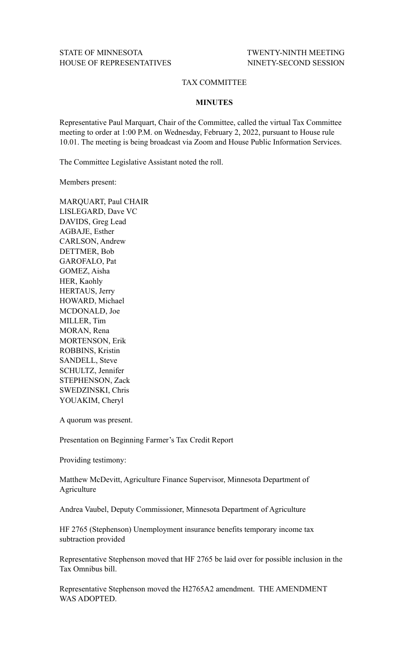## TAX COMMITTEE

## **MINUTES**

Representative Paul Marquart, Chair of the Committee, called the virtual Tax Committee meeting to order at 1:00 P.M. on Wednesday, February 2, 2022, pursuant to House rule 10.01. The meeting is being broadcast via Zoom and House Public Information Services.

The Committee Legislative Assistant noted the roll.

Members present:

MARQUART, Paul CHAIR LISLEGARD, Dave VC DAVIDS, Greg Lead AGBAJE, Esther CARLSON, Andrew DETTMER, Bob GAROFALO, Pat GOMEZ, Aisha HER, Kaohly HERTAUS, Jerry HOWARD, Michael MCDONALD, Joe MILLER, Tim MORAN, Rena MORTENSON, Erik ROBBINS, Kristin SANDELL, Steve SCHULTZ, Jennifer STEPHENSON, Zack SWEDZINSKI, Chris YOUAKIM, Cheryl

A quorum was present.

Presentation on Beginning Farmer's Tax Credit Report

Providing testimony:

Matthew McDevitt, Agriculture Finance Supervisor, Minnesota Department of **Agriculture** 

Andrea Vaubel, Deputy Commissioner, Minnesota Department of Agriculture

HF 2765 (Stephenson) Unemployment insurance benefits temporary income tax subtraction provided

Representative Stephenson moved that HF 2765 be laid over for possible inclusion in the Tax Omnibus bill.

Representative Stephenson moved the H2765A2 amendment. THE AMENDMENT WAS ADOPTED.